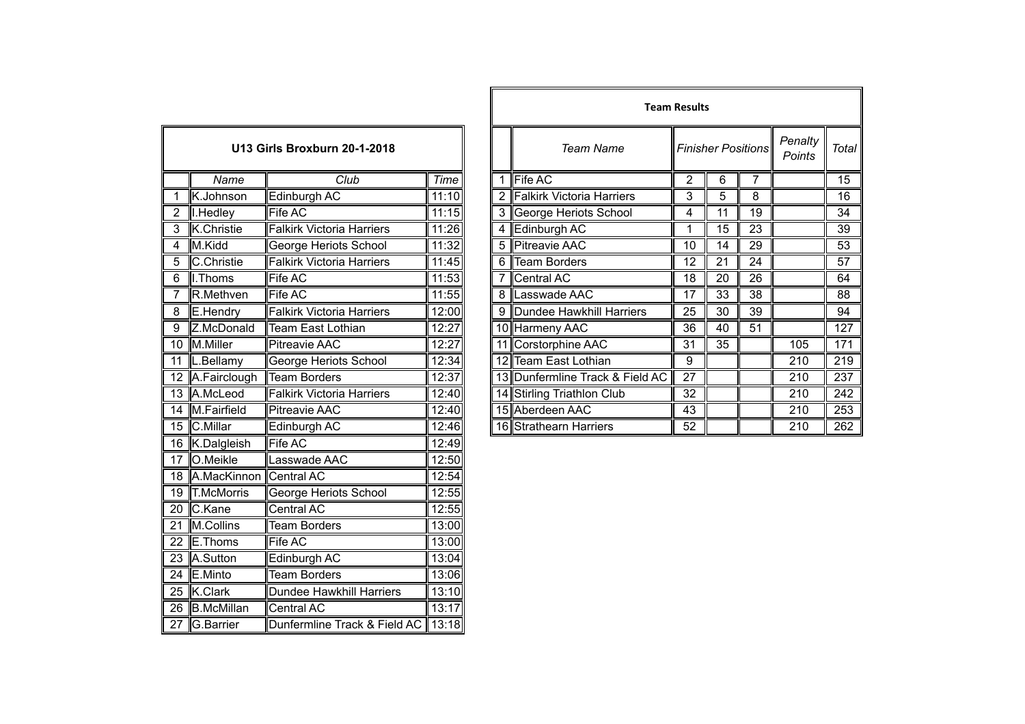| U13 Girls Broxburn 20-1-2018 |                   |                                  |       |  |  |  |
|------------------------------|-------------------|----------------------------------|-------|--|--|--|
|                              | Name              | $\overline{C}$ lub               |       |  |  |  |
| 1                            | K.Johnson         | Edinburgh AC                     | 11:10 |  |  |  |
| $\overline{c}$               | I.Hedley          | Fife AC                          | 11:15 |  |  |  |
| 3                            | <b>K.Christie</b> | <b>Falkirk Victoria Harriers</b> | 11:26 |  |  |  |
| 4                            | M.Kidd            | George Heriots School            | 11:32 |  |  |  |
| 5                            | C.Christie        | <b>Falkirk Victoria Harriers</b> | 11:45 |  |  |  |
| 6                            | I.Thoms           | <b>Fife AC</b>                   | 11:53 |  |  |  |
| 7                            | R.Methven         | <b>Fife AC</b>                   | 11:55 |  |  |  |
| 8                            | E.Hendry          | <b>Falkirk Victoria Harriers</b> | 12:00 |  |  |  |
| 9                            | Z.McDonald        | <b>Team East Lothian</b>         | 12:27 |  |  |  |
| 10                           | M.Miller          | <b>Pitreavie AAC</b>             | 12:27 |  |  |  |
| 11                           | L.Bellamy         | George Heriots School            | 12:34 |  |  |  |
| 12                           | A.Fairclough      | <b>Team Borders</b>              | 12:37 |  |  |  |
| $\overline{13}$              | A.McLeod          | <b>Falkirk Victoria Harriers</b> | 12:40 |  |  |  |
| 14                           | M.Fairfield       | <b>Pitreavie AAC</b>             | 12:40 |  |  |  |
| $\overline{15}$              | C.Millar          | Edinburgh AC                     | 12:46 |  |  |  |
| $\overline{16}$              | K.Dalgleish       | <b>Fife AC</b>                   | 12:49 |  |  |  |
| 17                           | O.Meikle          | Lasswade AAC                     | 12:50 |  |  |  |
| 18                           | A.MacKinnon       | Central AC                       | 12:54 |  |  |  |
| 19                           | T.McMorris        | George Heriots School            | 12:55 |  |  |  |
| $\overline{20}$              | C.Kane            | <b>Central AC</b>                | 12:55 |  |  |  |
| 21                           | M.Collins         | <b>Team Borders</b>              | 13:00 |  |  |  |
| 22                           | E.Thoms           | Fife AC                          | 13:00 |  |  |  |
| 23                           | A.Sutton          | <b>Edinburgh AC</b>              | 13:04 |  |  |  |
| 24                           | E.Minto           | <b>Team Borders</b>              | 13:06 |  |  |  |
| 25                           | <b>K.Clark</b>    | Dundee Hawkhill Harriers         | 13:10 |  |  |  |
| 26                           | <b>B.McMillan</b> | <b>Central AC</b>                | 13:17 |  |  |  |
| 27                           | G.Barrier         | Dunfermline Track & Field AC     | 13:18 |  |  |  |

|                 |                        |                                  |       |  |                                 | <b>Team Results</b> |                           |    |                   |       |
|-----------------|------------------------|----------------------------------|-------|--|---------------------------------|---------------------|---------------------------|----|-------------------|-------|
|                 |                        | U13 Girls Broxburn 20-1-2018     |       |  | <b>Team Name</b>                |                     | <b>Finisher Positions</b> |    | Penalty<br>Points | Total |
|                 | Name                   | Club                             | Time  |  | <b>Fife AC</b>                  | 2                   | 6                         | 7  |                   | 15    |
|                 | K.Johnson              | Edinburgh AC                     | 11:10 |  | Falkirk Victoria Harriers       | 3                   | 5                         | 8  |                   | 16    |
|                 | I.Hedley               | Fife AC                          | 11:15 |  | 3 George Heriots School         | 4                   | 11                        | 19 |                   | 34    |
| $\overline{3}$  | K.Christie             | <b>Falkirk Victoria Harriers</b> | 11:26 |  | 4 Edinburgh AC                  | 1                   | 15                        | 23 |                   | 39    |
| 4               | M.Kidd                 | George Heriots School            | 11:32 |  | 5 Pitreavie AAC                 | 10                  | 14                        | 29 |                   | 53    |
| $\overline{5}$  | C.Christie             | <b>Falkirk Victoria Harriers</b> | 11:45 |  | 6 Team Borders                  | 12                  | 21                        | 24 |                   | 57    |
| 6               | <b>II.Thoms</b>        | Fife AC                          | 11:53 |  | 7 Central AC                    | 18                  | 20                        | 26 |                   | 64    |
|                 | R.Methven              | <b>Fife AC</b>                   | 11:55 |  | 8 Lasswade AAC                  | 17                  | 33                        | 38 |                   | 88    |
| $\overline{8}$  | E.Hendry               | <b>Falkirk Victoria Harriers</b> | 12:00 |  | 9 Dundee Hawkhill Harriers      | 25                  | 30                        | 39 |                   | 94    |
| 9               | Z.McDonald             | Team East Lothian                | 12:27 |  | 10 Harmeny AAC                  | 36                  | 40                        | 51 |                   | 127   |
|                 | 10 M.Miller            | <b>Pitreavie AAC</b>             | 12:27 |  | 11 Corstorphine AAC             | 31                  | 35                        |    | 105               | 171   |
| $\overline{11}$ | $\mathsf{L}$ . Bellamy | George Heriots School            | 12:34 |  | 12 Team East Lothian            | 9                   |                           |    | 210               | 219   |
|                 | 12 A.Fairclough        | <b>Team Borders</b>              | 12:37 |  | 13 Dunfermline Track & Field AC | 27                  |                           |    | 210               | 237   |
|                 | 13 A.McLeod            | <b>Falkirk Victoria Harriers</b> | 12:40 |  | 14 Stirling Triathlon Club      | 32                  |                           |    | 210               | 242   |
|                 | 14 M.Fairfield         | <b>Pitreavie AAC</b>             | 12:40 |  | 15 Aberdeen AAC                 | 43                  |                           |    | 210               | 253   |
|                 | 15 C.Millar            | Edinburgh AC                     | 12:46 |  | 16 Strathearn Harriers          | 52                  |                           |    | 210               | 262   |
|                 |                        |                                  |       |  |                                 |                     |                           |    |                   |       |